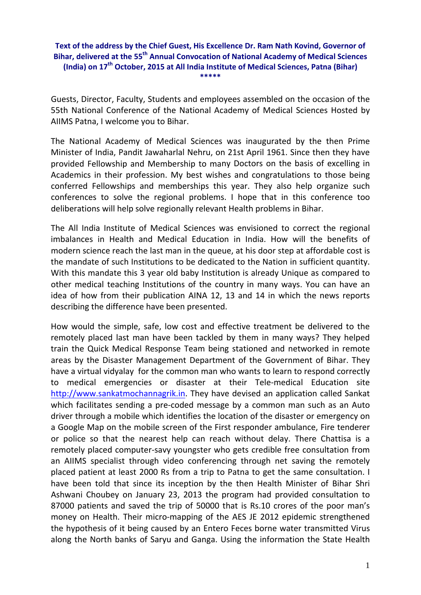## **Text of the address by the Chief Guest, His Excellence Dr. Ram Nath Kovind, Governor of Bihar, delivered at the 55th Annual Convocation of National Academy of Medical Sciences (India) on 17th October, 2015 at All India Institute of Medical Sciences, Patna (Bihar) \*\*\*\*\***

Guests, Director, Faculty, Students and employees assembled on the occasion of the 55th National Conference of the National Academy of Medical Sciences Hosted by AIIMS Patna, I welcome you to Bihar.

The National Academy of Medical Sciences was inaugurated by the then Prime Minister of India, Pandit Jawaharlal Nehru, on 21st April 1961. Since then they have provided Fellowship and Membership to many Doctors on the basis of excelling in Academics in their profession. My best wishes and congratulations to those being conferred Fellowships and memberships this year. They also help organize such conferences to solve the regional problems. I hope that in this conference too deliberations will help solve regionally relevant Health problems in Bihar.

The All India Institute of Medical Sciences was envisioned to correct the regional imbalances in Health and Medical Education in India. How will the benefits of modern science reach the last man in the queue, at his door step at affordable cost is the mandate of such Institutions to be dedicated to the Nation in sufficient quantity. With this mandate this 3 year old baby Institution is already Unique as compared to other medical teaching Institutions of the country in many ways. You can have an idea of how from their publication AINA 12, 13 and 14 in which the news reports describing the difference have been presented.

How would the simple, safe, low cost and effective treatment be delivered to the remotely placed last man have been tackled by them in many ways? They helped train the Quick Medical Response Team being stationed and networked in remote areas by the Disaster Management Department of the Government of Bihar. They have a virtual vidyalay for the common man who wants to learn to respond correctly to medical emergencies or disaster at their Tele‐medical Education site [http://www.sankatmochannagrik.in](http://www.sankatmochannagrik.in/). They have devised an application called Sankat which facilitates sending a pre-coded message by a common man such as an Auto driver through a mobile which identifies the location of the disaster or emergency on a Google Map on the mobile screen of the First responder ambulance, Fire tenderer or police so that the nearest help can reach without delay. There Chattisa is a remotely placed computer‐savy youngster who gets credible free consultation from an AIIMS specialist through video conferencing through net saving the remotely placed patient at least 2000 Rs from a trip to Patna to get the same consultation. I have been told that since its inception by the then Health Minister of Bihar Shri Ashwani Choubey on January 23, 2013 the program had provided consultation to 87000 patients and saved the trip of 50000 that is Rs.10 crores of the poor man's money on Health. Their micro-mapping of the AES JE 2012 epidemic strengthened the hypothesis of it being caused by an Entero Feces borne water transmitted Virus along the North banks of Saryu and Ganga. Using the information the State Health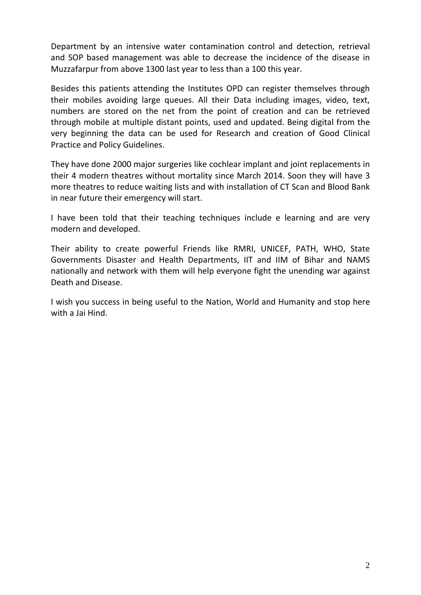Department by an intensive water contamination control and detection, retrieval and SOP based management was able to decrease the incidence of the disease in Muzzafarpur from above 1300 last year to less than a 100 this year.

Besides this patients attending the Institutes OPD can register themselves through their mobiles avoiding large queues. All their Data including images, video, text, numbers are stored on the net from the point of creation and can be retrieved through mobile at multiple distant points, used and updated. Being digital from the very beginning the data can be used for Research and creation of Good Clinical Practice and Policy Guidelines.

They have done 2000 major surgeries like cochlear implant and joint replacements in their 4 modern theatres without mortality since March 2014. Soon they will have 3 more theatres to reduce waiting lists and with installation of CT Scan and Blood Bank in near future their emergency will start.

I have been told that their teaching techniques include e learning and are very modern and developed.

Their ability to create powerful Friends like RMRI, UNICEF, PATH, WHO, State Governments Disaster and Health Departments, IIT and IIM of Bihar and NAMS nationally and network with them will help everyone fight the unending war against Death and Disease.

I wish you success in being useful to the Nation, World and Humanity and stop here with a Jai Hind.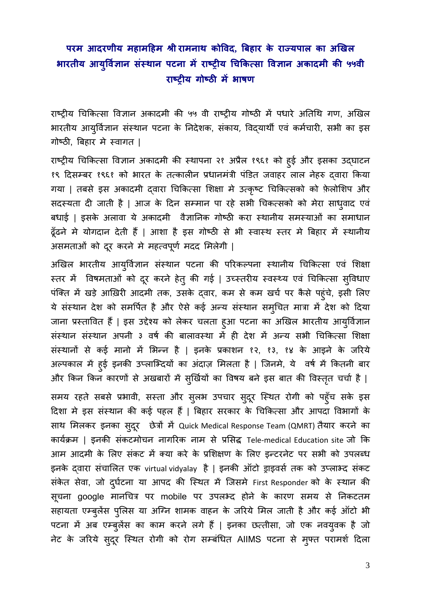## **परम आदरणीय महामिहम Įी रामनाथ कोिवद, िबहार के राÏयपाल का अिखल भारतीय आय िवज्ञान र् संèथान पटना मɅ राçट्रीय िचिक×सा िवज्ञान अकादमी की ५५वी ु राçट्रीय गोçठी मɅभाषण**

राष्ट्रीय चिकित्सा विज्ञान अकादमी की ५५ वी राष्ट्रीय गोष्ठी में पधारे अतिथि गण, अखिल भारतीय आयुर्विज्ञान संस्थान पटना के निदेशक, संकाय, विदयार्थी एवं कर्मचारी, सभी का इस गोष्ठी, बिहार मे स्वागत |

राष्ट्रीय चिकित्सा विज्ञान अकादमी की स्थापना २१ अप्रैल १९६१ को हुई और इसका उद्घाटन १९ दिसम्बर १९६१ को भारत के तत्कालीन प्रधानमंत्री पंडित जवाहर लाल नेहरु द्वारा किया गया | तबसे इस अकादमी द्वारा चिकित्सा शिक्षा मे उत्कृष्ट चिकित्सको को फ़ेलोशिप और सदस्यता दी जाती है | आज के दिन सम्मान पा रहे सभी चिकत्सको को मेरा साधुवाद एव बधाई | इसके अलावा ये अकादमी वैज्ञानिक गोष्ठी करा स्थानीय समस्याओं का समाधान ढूँढने मे योगदान देती हैं | आशा है इस गोष्ठी से भी स्वास्थ स्तर मे बिहार में स्थानीय असमताओं को दूर करने में महत्वपूर्ण मदद मिलेगी |

अखिल भारतीय आयुर्विज्ञान संस्थान पटना की परिकल्पना स्थानीय चिकित्सा एवं शिक्षा स्तर में विषमताओं को दूर करने हेतु की गई | उच्स्तरीय स्वस्थ्य एवं चिकित्सा सुविधाए पंक्ति में खड़े आख़िरी आदमी तक, उसके द्वार, कम से कम खर्च पर कैसे पहुंचे, इसी लिए ये संस्थान देश को समर्पित है और ऐसे कई अन्य संस्थान समुचित मात्रा में देश को दिया जाना प्रस्तावित है | इस उद्देश्य को लेकर चलता हुआ पटना का अखिल भारतीय आयुर्विज्ञान संस्थान संस्थान अपनी ३ वर्ष की बालावस्था में ही देश में अन्य सभी चिकित्सा शिक्षा संस्थानों से कई मानो में भिन्न है | इनके प्रकाशन १२, १३, १४ के आइने के जरिये अल्पकाल में हुई इनकी उप्लाभ्दियों का अदाज़ मिलता है | जिनमें, ये वर्ष में कितनी बार और किन किन कारणों से अखबारों में सुर्खियों का विषय बने इस बात की विस्तृत चर्चा है |

समय रहते सबसे प्रभावी, सस्ता और सुलभ उपचार सुदूर स्थित रोगी को पहुँच सके इस दिशा मे इस संस्थान की कई पहल हैं | बिहार सरकार के चिकित्सा और आपदा विभागों के साथ मिलकर इनका सुदूर छेत्रों में Quick Medical Response Team (QMRT) तैयार करने का कायक्रमर् | इनकी संकटमोचन नागिरक नाम से प्रिसद्ध Tele‐medical Education site जो िक आम आदमी के लिए संकट में क्या करे के प्रशिक्षण के लिए इन्टरनेट पर सभी को उपलब्ध इनके दवारा संचालित एक virtual vidyalay है | इनकी ऑटो ड्राइवर्स तक को उप्लाभ्द संकट सकेत सेवा, जो दुर्घटना या आपद की स्थित में जिसमें First Responder को के स्थान की सूचना google मानचित्र पर mobile पर उपलभ्द होने के कारण समय से निकटतम सहायता एम्बुलेस पुलिस या अग्नि शामक वाहन के जरिये मिल जाती है और कई आंटो भी पटना में अब एम्बुलेस का काम करने लगे हैं | इनका छत्तीसा, जो एक नवयुवक है जो नेट के जरिये सुदूर स्थित रोगी को रोग सम्बंधित AIIMS पटना से मुफ्त परामर्श दिला

3